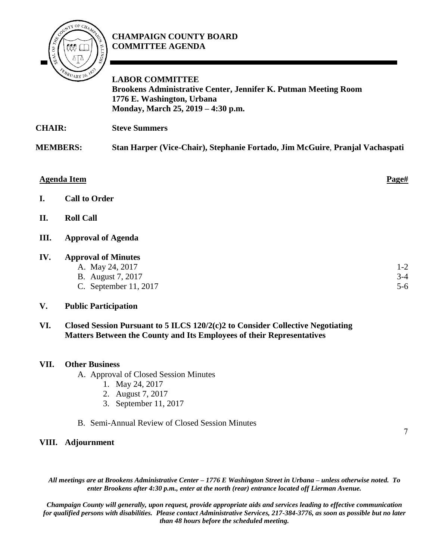

## **CHAMPAIGN COUNTY BOARD COMMITTEE AGENDA**

**LABOR COMMITTEE Brookens Administrative Center, Jennifer K. Putman Meeting Room 1776 E. Washington, Urbana Monday, March 25, 2019 – 4:30 p.m.**

**CHAIR: Steve Summers**

**MEMBERS: Stan Harper (Vice-Chair), Stephanie Fortado, Jim McGuire**, **Pranjal Vachaspati**

#### **Agenda Item Page#**

- **I. Call to Order**
- **II. Roll Call**

#### **III. Approval of Agenda**

#### **IV. Approval of Minutes**

- A. May 24, 2017
- B. August 7, 2017
- C. September 11, 2017

#### **V. Public Participation**

**VI. Closed Session Pursuant to 5 ILCS 120/2(c)2 to Consider Collective Negotiating Matters Between the County and Its Employees of their Representatives**

#### **VII. Other Business**

- A. Approval of Closed Session Minutes
	- 1. May 24, 2017
	- 2. August 7, 2017
	- 3. September 11, 2017
- B. Semi-Annual Review of Closed Session Minutes

#### **VIII. Adjournment**

*All meetings are at Brookens Administrative Center – 1776 E Washington Street in Urbana – unless otherwise noted. To enter Brookens after 4:30 p.m., enter at the north (rear) entrance located off Lierman Avenue.* 

*Champaign County will generally, upon request, provide appropriate aids and services leading to effective communication for qualified persons with disabilities. Please contact Administrative Services, 217-384-3776, as soon as possible but no later than 48 hours before the scheduled meeting.*

7

1-2 3-4 5-6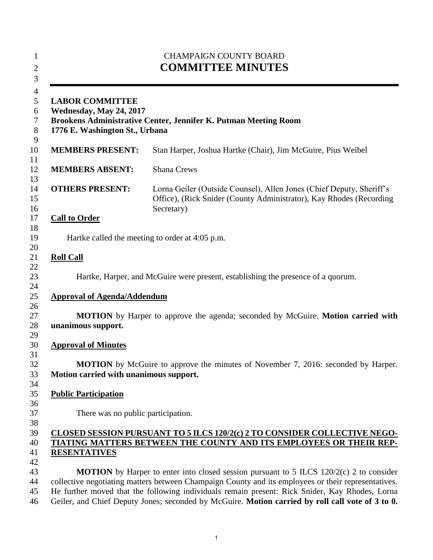| <b>CHAMPAIGN COUNTY BOARD</b><br><b>COMMITTEE MINUTES</b><br><b>LABOR COMMITTEE</b><br>Wednesday, May 24, 2017<br>Brookens Administrative Center, Jennifer K. Putman Meeting Room<br>1776 E. Washington St., Urbana |                                                                                                                                                                                                       |  |
|---------------------------------------------------------------------------------------------------------------------------------------------------------------------------------------------------------------------|-------------------------------------------------------------------------------------------------------------------------------------------------------------------------------------------------------|--|
|                                                                                                                                                                                                                     |                                                                                                                                                                                                       |  |
| <b>MEMBERS ABSENT:</b>                                                                                                                                                                                              | <b>Shana Crews</b>                                                                                                                                                                                    |  |
| <b>OTHERS PRESENT:</b>                                                                                                                                                                                              | Lorna Geiler (Outside Counsel), Allen Jones (Chief Deputy, Sheriff's<br>Office), (Rick Snider (County Administrator), Kay Rhodes (Recording<br>Secretary)                                             |  |
| <b>Call to Order</b>                                                                                                                                                                                                |                                                                                                                                                                                                       |  |
|                                                                                                                                                                                                                     | Hartke called the meeting to order at 4:05 p.m.                                                                                                                                                       |  |
| <b>Roll Call</b>                                                                                                                                                                                                    |                                                                                                                                                                                                       |  |
|                                                                                                                                                                                                                     | Hartke, Harper, and McGuire were present, establishing the presence of a quorum.                                                                                                                      |  |
| <b>Approval of Agenda/Addendum</b>                                                                                                                                                                                  |                                                                                                                                                                                                       |  |
| unanimous support.                                                                                                                                                                                                  | <b>MOTION</b> by Harper to approve the agenda; seconded by McGuire. Motion carried with                                                                                                               |  |
| <b>Approval of Minutes</b>                                                                                                                                                                                          |                                                                                                                                                                                                       |  |
| Motion carried with unanimous support.                                                                                                                                                                              | MOTION by McGuire to approve the minutes of November 7, 2016: seconded by Harper.                                                                                                                     |  |
| <b>Public Participation</b>                                                                                                                                                                                         |                                                                                                                                                                                                       |  |
| There was no public participation.                                                                                                                                                                                  |                                                                                                                                                                                                       |  |
|                                                                                                                                                                                                                     | CLOSED SESSION PURSUANT TO 5 ILCS 120/2(c) 2 TO CONSIDER COLLECTIVE NEGO-                                                                                                                             |  |
| <b>RESENTATIVES</b>                                                                                                                                                                                                 | TIATING MATTERS BETWEEN THE COUNTY AND ITS EMPLOYEES OR THEIR REP-                                                                                                                                    |  |
|                                                                                                                                                                                                                     |                                                                                                                                                                                                       |  |
|                                                                                                                                                                                                                     | <b>MOTION</b> by Harper to enter into closed session pursuant to 5 ILCS 120/2(c) 2 to consider<br>collective negotiating matters between Champaign County and its employees or their representatives. |  |
|                                                                                                                                                                                                                     | He further moved that the following individuals remain present: Rick Snider, Kay Rhodes, Lorna<br>Geiler, and Chief Deputy Jones; seconded by McGuire. Motion carried by roll call vote of 3 to 0.    |  |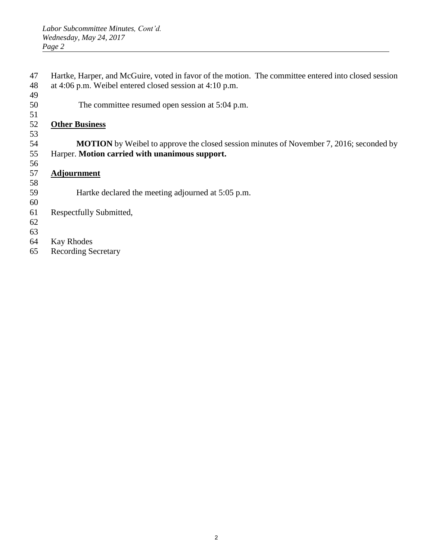- Hartke, Harper, and McGuire, voted in favor of the motion. The committee entered into closed session at 4:06 p.m. Weibel entered closed session at 4:10 p.m.
- The committee resumed open session at 5:04 p.m.
- 

## **Other Business**

 **MOTION** by Weibel to approve the closed session minutes of November 7, 2016; seconded by Harper. **Motion carried with unanimous support.**

**Adjournment**

 Hartke declared the meeting adjourned at 5:05 p.m. 

- Respectfully Submitted,
- 
- 
- Kay Rhodes
- Recording Secretary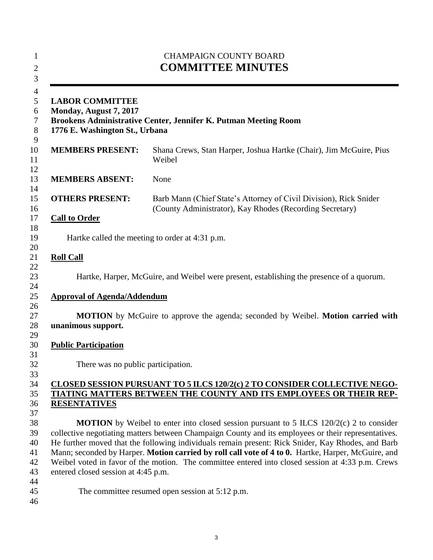| <b>CHAMPAIGN COUNTY BOARD</b><br><b>COMMITTEE MINUTES</b><br><b>LABOR COMMITTEE</b><br>Monday, August 7, 2017<br>Brookens Administrative Center, Jennifer K. Putman Meeting Room<br>1776 E. Washington St., Urbana |                                                                                                                               |  |
|--------------------------------------------------------------------------------------------------------------------------------------------------------------------------------------------------------------------|-------------------------------------------------------------------------------------------------------------------------------|--|
|                                                                                                                                                                                                                    |                                                                                                                               |  |
| <b>MEMBERS ABSENT:</b>                                                                                                                                                                                             | None                                                                                                                          |  |
| <b>OTHERS PRESENT:</b>                                                                                                                                                                                             | Barb Mann (Chief State's Attorney of Civil Division), Rick Snider<br>(County Administrator), Kay Rhodes (Recording Secretary) |  |
| <b>Call to Order</b>                                                                                                                                                                                               |                                                                                                                               |  |
|                                                                                                                                                                                                                    | Hartke called the meeting to order at 4:31 p.m.                                                                               |  |
| <b>Roll Call</b>                                                                                                                                                                                                   |                                                                                                                               |  |
|                                                                                                                                                                                                                    | Hartke, Harper, McGuire, and Weibel were present, establishing the presence of a quorum.                                      |  |
| <b>Approval of Agenda/Addendum</b>                                                                                                                                                                                 |                                                                                                                               |  |
|                                                                                                                                                                                                                    |                                                                                                                               |  |
| unanimous support.                                                                                                                                                                                                 | <b>MOTION</b> by McGuire to approve the agenda; seconded by Weibel. <b>Motion carried with</b>                                |  |
| <b>Public Participation</b>                                                                                                                                                                                        |                                                                                                                               |  |
| There was no public participation.                                                                                                                                                                                 |                                                                                                                               |  |
|                                                                                                                                                                                                                    | CLOSED SESSION PURSUANT TO 5 ILCS 120/2(c) 2 TO CONSIDER COLLECTIVE NEGO-                                                     |  |
|                                                                                                                                                                                                                    | TIATING MATTERS BETWEEN THE COUNTY AND ITS EMPLOYEES OR THEIR REP-                                                            |  |
| <b>RESENTATIVES</b>                                                                                                                                                                                                |                                                                                                                               |  |
|                                                                                                                                                                                                                    | <b>MOTION</b> by Weibel to enter into closed session pursuant to 5 ILCS $120/2(c)$ 2 to consider                              |  |
|                                                                                                                                                                                                                    | collective negotiating matters between Champaign County and its employees or their representatives.                           |  |
|                                                                                                                                                                                                                    | He further moved that the following individuals remain present: Rick Snider, Kay Rhodes, and Barb                             |  |
|                                                                                                                                                                                                                    | Mann; seconded by Harper. Motion carried by roll call vote of 4 to 0. Hartke, Harper, McGuire, and                            |  |
| entered closed session at 4:45 p.m.                                                                                                                                                                                | Weibel voted in favor of the motion. The committee entered into closed session at 4:33 p.m. Crews                             |  |
|                                                                                                                                                                                                                    |                                                                                                                               |  |
|                                                                                                                                                                                                                    | The committee resumed open session at 5:12 p.m.                                                                               |  |
|                                                                                                                                                                                                                    |                                                                                                                               |  |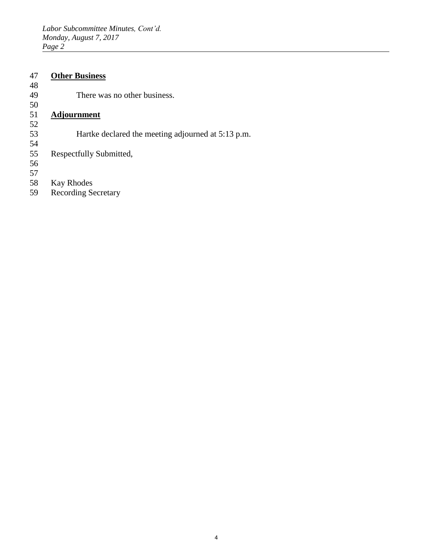### 47 **Other Business**

48

There was no other business.

Hartke declared the meeting adjourned at 5:13 p.m.

# $\frac{50}{51}$

## 51 **Adjournment**

- 52
- 

54 Respectfully Submitted,

56

- 
- 57 58 Kay Rhodes<br>59 Recording Se
- Recording Secretary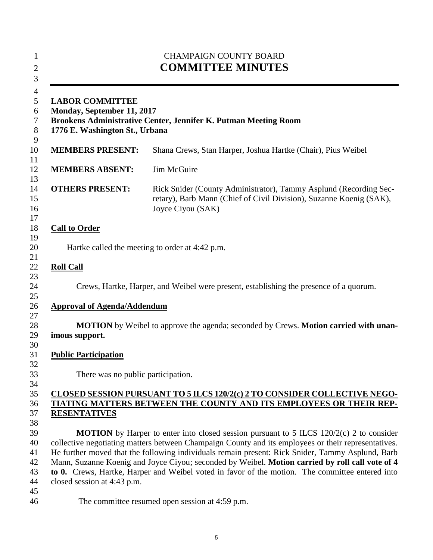| <b>CHAMPAIGN COUNTY BOARD</b><br><b>COMMITTEE MINUTES</b><br><b>LABOR COMMITTEE</b><br>Monday, September 11, 2017<br>Brookens Administrative Center, Jennifer K. Putman Meeting Room<br>1776 E. Washington St., Urbana |                                                                                                                                                                                                     |  |
|------------------------------------------------------------------------------------------------------------------------------------------------------------------------------------------------------------------------|-----------------------------------------------------------------------------------------------------------------------------------------------------------------------------------------------------|--|
|                                                                                                                                                                                                                        |                                                                                                                                                                                                     |  |
| <b>MEMBERS ABSENT:</b>                                                                                                                                                                                                 | Jim McGuire                                                                                                                                                                                         |  |
| <b>OTHERS PRESENT:</b>                                                                                                                                                                                                 | Rick Snider (County Administrator), Tammy Asplund (Recording Sec-<br>retary), Barb Mann (Chief of Civil Division), Suzanne Koenig (SAK),<br>Joyce Ciyou (SAK)                                       |  |
| <b>Call to Order</b>                                                                                                                                                                                                   |                                                                                                                                                                                                     |  |
|                                                                                                                                                                                                                        | Hartke called the meeting to order at 4:42 p.m.                                                                                                                                                     |  |
| <b>Roll Call</b>                                                                                                                                                                                                       |                                                                                                                                                                                                     |  |
|                                                                                                                                                                                                                        | Crews, Hartke, Harper, and Weibel were present, establishing the presence of a quorum.                                                                                                              |  |
| <b>Approval of Agenda/Addendum</b>                                                                                                                                                                                     |                                                                                                                                                                                                     |  |
| imous support.                                                                                                                                                                                                         | <b>MOTION</b> by Weibel to approve the agenda; seconded by Crews. <b>Motion carried with unan-</b>                                                                                                  |  |
| <b>Public Participation</b>                                                                                                                                                                                            |                                                                                                                                                                                                     |  |
| There was no public participation.                                                                                                                                                                                     |                                                                                                                                                                                                     |  |
|                                                                                                                                                                                                                        | CLOSED SESSION PURSUANT TO 5 ILCS 120/2(c) 2 TO CONSIDER COLLECTIVE NEGO-                                                                                                                           |  |
|                                                                                                                                                                                                                        | TIATING MATTERS BETWEEN THE COUNTY AND ITS EMPLOYEES OR THEIR REP-                                                                                                                                  |  |
| <b>RESENTATIVES</b>                                                                                                                                                                                                    |                                                                                                                                                                                                     |  |
|                                                                                                                                                                                                                        | MOTION by Harper to enter into closed session pursuant to 5 ILCS 120/2(c) 2 to consider                                                                                                             |  |
|                                                                                                                                                                                                                        | collective negotiating matters between Champaign County and its employees or their representatives.                                                                                                 |  |
|                                                                                                                                                                                                                        | He further moved that the following individuals remain present: Rick Snider, Tammy Asplund, Barb<br>Mann, Suzanne Koenig and Joyce Ciyou; seconded by Weibel. Motion carried by roll call vote of 4 |  |
|                                                                                                                                                                                                                        | to 0. Crews, Hartke, Harper and Weibel voted in favor of the motion. The committee entered into                                                                                                     |  |
| closed session at 4:43 p.m.                                                                                                                                                                                            |                                                                                                                                                                                                     |  |
|                                                                                                                                                                                                                        |                                                                                                                                                                                                     |  |
|                                                                                                                                                                                                                        | The committee resumed open session at 4:59 p.m.                                                                                                                                                     |  |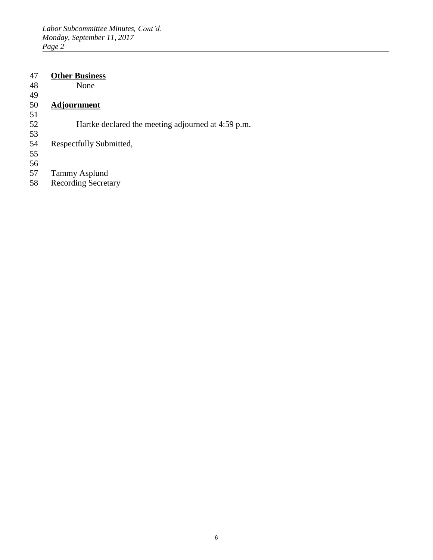## 47 **Other Business**

48 None

49<br>50

## 50 **Adjournment**

51

Hartke declared the meeting adjourned at 4:59 p.m.

- 53 Respectfully Submitted,
- 55
- 56
- 57 Tammy Asplund<br>58 Recording Secreta
- Recording Secretary